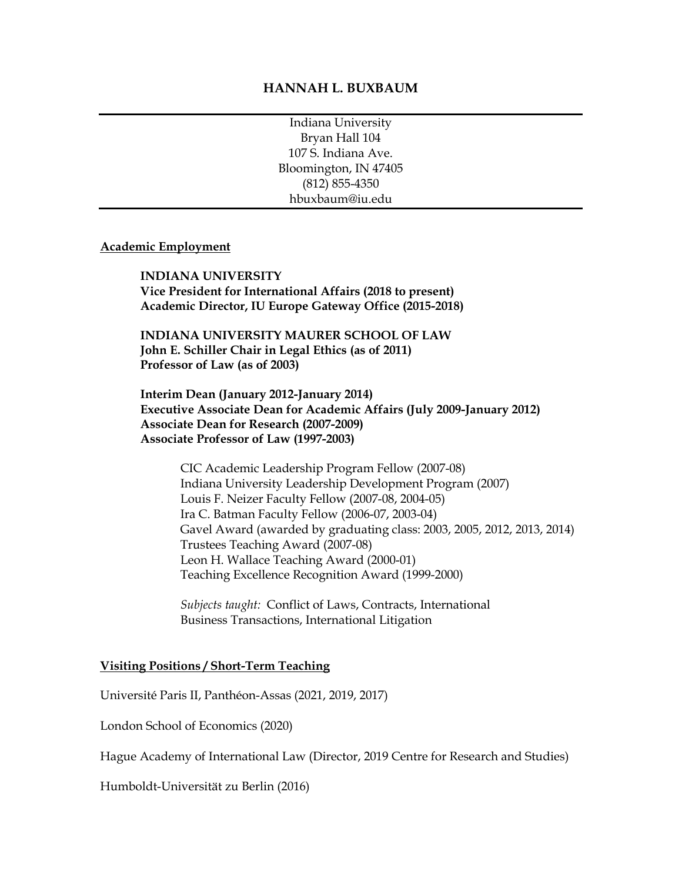#### **HANNAH L. BUXBAUM**

Indiana University Bryan Hall 104 107 S. Indiana Ave. Bloomington, IN 47405 (812) 855-4350 hbuxbaum@iu.edu

#### **Academic Employment**

**INDIANA UNIVERSITY Vice President for International Affairs (2018 to present) Academic Director, IU Europe Gateway Office (2015-2018)**

**INDIANA UNIVERSITY MAURER SCHOOL OF LAW John E. Schiller Chair in Legal Ethics (as of 2011) Professor of Law (as of 2003)**

 **Interim Dean (January 2012-January 2014) Executive Associate Dean for Academic Affairs (July 2009-January 2012) Associate Dean for Research (2007-2009) Associate Professor of Law (1997-2003)**

CIC Academic Leadership Program Fellow (2007-08) Indiana University Leadership Development Program (2007) Louis F. Neizer Faculty Fellow (2007-08, 2004-05) Ira C. Batman Faculty Fellow (2006-07, 2003-04) Gavel Award (awarded by graduating class: 2003, 2005, 2012, 2013, 2014) Trustees Teaching Award (2007-08) Leon H. Wallace Teaching Award (2000-01) Teaching Excellence Recognition Award (1999-2000)

*Subjects taught:* Conflict of Laws, Contracts, International Business Transactions, International Litigation

#### **Visiting Positions / Short-Term Teaching**

Université Paris II, Panthéon-Assas (2021, 2019, 2017)

London School of Economics (2020)

Hague Academy of International Law (Director, 2019 Centre for Research and Studies)

Humboldt-Universität zu Berlin (2016)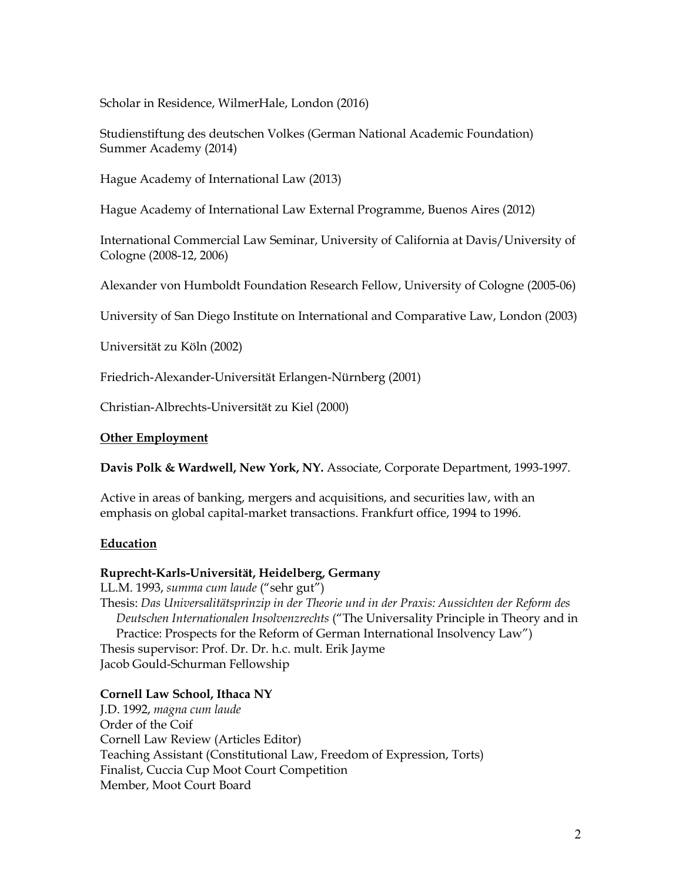Scholar in Residence, WilmerHale, London (2016)

Studienstiftung des deutschen Volkes (German National Academic Foundation) Summer Academy (2014)

Hague Academy of International Law (2013)

Hague Academy of International Law External Programme, Buenos Aires (2012)

International Commercial Law Seminar, University of California at Davis/University of Cologne (2008-12, 2006)

Alexander von Humboldt Foundation Research Fellow, University of Cologne (2005-06)

University of San Diego Institute on International and Comparative Law, London (2003)

Universität zu Köln (2002)

Friedrich-Alexander-Universität Erlangen-Nürnberg (2001)

Christian-Albrechts-Universität zu Kiel (2000)

#### **Other Employment**

**Davis Polk & Wardwell, New York, NY.** Associate, Corporate Department, 1993-1997.

Active in areas of banking, mergers and acquisitions, and securities law, with an emphasis on global capital-market transactions. Frankfurt office, 1994 to 1996.

#### **Education**

#### **Ruprecht-Karls-Universität, Heidelberg, Germany**

LL.M. 1993, *summa cum laude* ("sehr gut") Thesis: *Das Universalitätsprinzip in der Theorie und in der Praxis: Aussichten der Reform des Deutschen Internationalen Insolvenzrechts* ("The Universality Principle in Theory and in Practice: Prospects for the Reform of German International Insolvency Law") Thesis supervisor: Prof. Dr. Dr. h.c. mult. Erik Jayme Jacob Gould-Schurman Fellowship

#### **Cornell Law School, Ithaca NY**

J.D. 1992, *magna cum laude* Order of the Coif Cornell Law Review (Articles Editor) Teaching Assistant (Constitutional Law, Freedom of Expression, Torts) Finalist, Cuccia Cup Moot Court Competition Member, Moot Court Board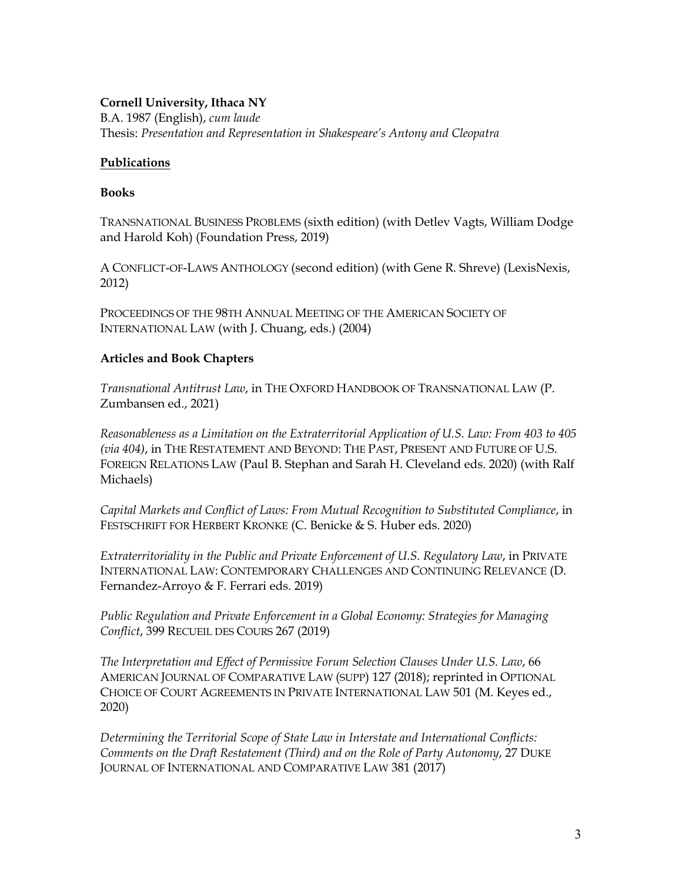## **Cornell University, Ithaca NY**

B.A. 1987 (English), *cum laude* Thesis: *Presentation and Representation in Shakespeare's Antony and Cleopatra*

## **Publications**

### **Books**

TRANSNATIONAL BUSINESS PROBLEMS (sixth edition) (with Detlev Vagts, William Dodge and Harold Koh) (Foundation Press, 2019)

A CONFLICT-OF-LAWS ANTHOLOGY (second edition) (with Gene R. Shreve) (LexisNexis, 2012)

PROCEEDINGS OF THE 98TH ANNUAL MEETING OF THE AMERICAN SOCIETY OF INTERNATIONAL LAW (with J. Chuang, eds.) (2004)

# **Articles and Book Chapters**

*Transnational Antitrust Law*, in THE OXFORD HANDBOOK OF TRANSNATIONAL LAW (P. Zumbansen ed., 2021)

*Reasonableness as a Limitation on the Extraterritorial Application of U.S. Law: From 403 to 405 (via 404)*, in THE RESTATEMENT AND BEYOND: THE PAST, PRESENT AND FUTURE OF U.S. FOREIGN RELATIONS LAW (Paul B. Stephan and Sarah H. Cleveland eds. 2020) (with Ralf Michaels)

*Capital Markets and Conflict of Laws: From Mutual Recognition to Substituted Compliance*, in FESTSCHRIFT FOR HERBERT KRONKE (C. Benicke & S. Huber eds. 2020)

*Extraterritoriality in the Public and Private Enforcement of U.S. Regulatory Law*, in PRIVATE INTERNATIONAL LAW: CONTEMPORARY CHALLENGES AND CONTINUING RELEVANCE (D. Fernandez-Arroyo & F. Ferrari eds. 2019)

*Public Regulation and Private Enforcement in a Global Economy: Strategies for Managing Conflict*, 399 RECUEIL DES COURS 267 (2019)

*The Interpretation and Effect of Permissive Forum Selection Clauses Under U.S. Law*, 66 AMERICAN JOURNAL OF COMPARATIVE LAW (SUPP) 127 (2018); reprinted in OPTIONAL CHOICE OF COURT AGREEMENTS IN PRIVATE INTERNATIONAL LAW 501 (M. Keyes ed., 2020)

*Determining the Territorial Scope of State Law in Interstate and International Conflicts: Comments on the Draft Restatement (Third) and on the Role of Party Autonomy*, 27 DUKE JOURNAL OF INTERNATIONAL AND COMPARATIVE LAW 381 (2017)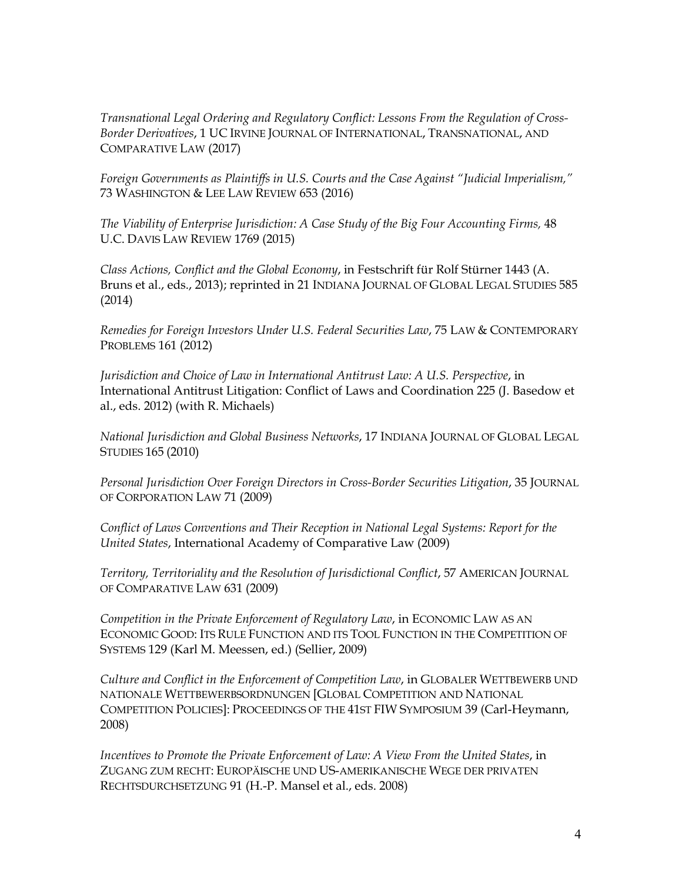*Transnational Legal Ordering and Regulatory Conflict: Lessons From the Regulation of Cross-Border Derivatives*, 1 UC IRVINE JOURNAL OF INTERNATIONAL, TRANSNATIONAL, AND COMPARATIVE LAW (2017)

*Foreign Governments as Plaintiffs in U.S. Courts and the Case Against "Judicial Imperialism,"* 73 WASHINGTON & LEE LAW REVIEW 653 (2016)

*The Viability of Enterprise Jurisdiction: A Case Study of the Big Four Accounting Firms,* 48 U.C. DAVIS LAW REVIEW 1769 (2015)

*Class Actions, Conflict and the Global Economy*, in Festschrift für Rolf Stürner 1443 (A. Bruns et al., eds., 2013); reprinted in 21 INDIANA JOURNAL OF GLOBAL LEGAL STUDIES 585 (2014)

*Remedies for Foreign Investors Under U.S. Federal Securities Law*, 75 LAW & CONTEMPORARY PROBLEMS 161 (2012)

*Jurisdiction and Choice of Law in International Antitrust Law: A U.S. Perspective*, in International Antitrust Litigation: Conflict of Laws and Coordination 225 (J. Basedow et al., eds. 2012) (with R. Michaels)

*National Jurisdiction and Global Business Networks*, 17 INDIANA JOURNAL OF GLOBAL LEGAL STUDIES 165 (2010)

*Personal Jurisdiction Over Foreign Directors in Cross-Border Securities Litigation*, 35 JOURNAL OF CORPORATION LAW 71 (2009)

*Conflict of Laws Conventions and Their Reception in National Legal Systems: Report for the United States*, International Academy of Comparative Law (2009)

*Territory, Territoriality and the Resolution of Jurisdictional Conflict*, 57 AMERICAN JOURNAL OF COMPARATIVE LAW 631 (2009)

*Competition in the Private Enforcement of Regulatory Law*, in ECONOMIC LAW AS AN ECONOMIC GOOD: ITS RULE FUNCTION AND ITS TOOL FUNCTION IN THE COMPETITION OF SYSTEMS 129 (Karl M. Meessen, ed.) (Sellier, 2009)

*Culture and Conflict in the Enforcement of Competition Law*, in GLOBALER WETTBEWERB UND NATIONALE WETTBEWERBSORDNUNGEN [GLOBAL COMPETITION AND NATIONAL COMPETITION POLICIES]: PROCEEDINGS OF THE 41ST FIW SYMPOSIUM 39 (Carl-Heymann, 2008)

*Incentives to Promote the Private Enforcement of Law: A View From the United States*, in ZUGANG ZUM RECHT: EUROPÄISCHE UND US-AMERIKANISCHE WEGE DER PRIVATEN RECHTSDURCHSETZUNG 91 (H.-P. Mansel et al., eds. 2008)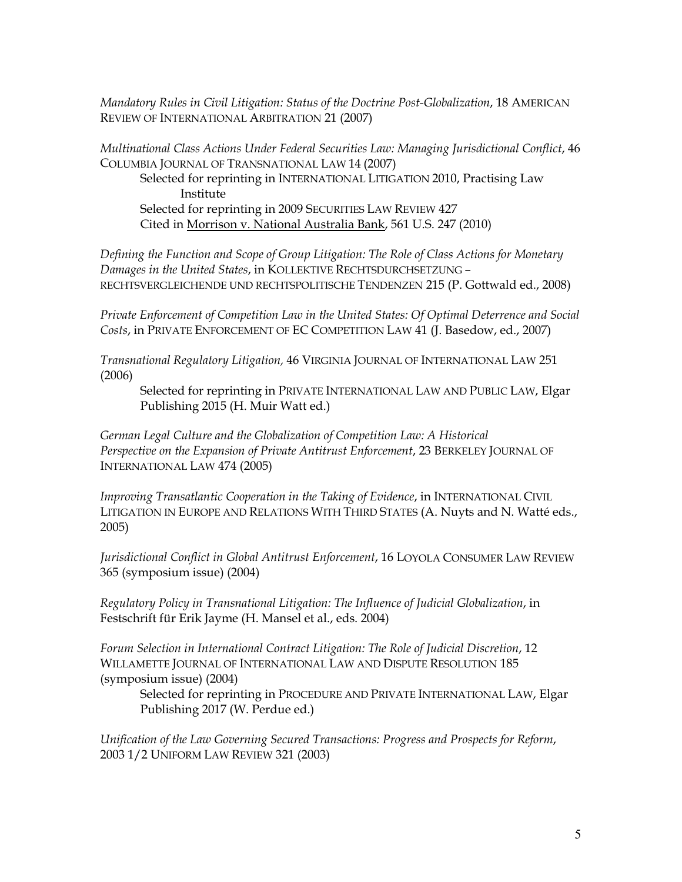*Mandatory Rules in Civil Litigation: Status of the Doctrine Post-Globalization*, 18 AMERICAN REVIEW OF INTERNATIONAL ARBITRATION 21 (2007)

*Multinational Class Actions Under Federal Securities Law: Managing Jurisdictional Conflict*, 46 COLUMBIA JOURNAL OF TRANSNATIONAL LAW 14 (2007)

Selected for reprinting in INTERNATIONAL LITIGATION 2010, Practising Law Institute Selected for reprinting in 2009 SECURITIES LAW REVIEW 427 Cited in Morrison v. National Australia Bank, 561 U.S. 247 (2010)

*Defining the Function and Scope of Group Litigation: The Role of Class Actions for Monetary Damages in the United States*, in KOLLEKTIVE RECHTSDURCHSETZUNG – RECHTSVERGLEICHENDE UND RECHTSPOLITISCHE TENDENZEN 215 (P. Gottwald ed., 2008)

*Private Enforcement of Competition Law in the United States: Of Optimal Deterrence and Social Costs*, in PRIVATE ENFORCEMENT OF EC COMPETITION LAW 41 (J. Basedow, ed., 2007)

*Transnational Regulatory Litigation,* 46 VIRGINIA JOURNAL OF INTERNATIONAL LAW 251 (2006)

Selected for reprinting in PRIVATE INTERNATIONAL LAW AND PUBLIC LAW, Elgar Publishing 2015 (H. Muir Watt ed.)

*German Legal Culture and the Globalization of Competition Law: A Historical Perspective on the Expansion of Private Antitrust Enforcement*, 23 BERKELEY JOURNAL OF INTERNATIONAL LAW 474 (2005)

*Improving Transatlantic Cooperation in the Taking of Evidence*, in INTERNATIONAL CIVIL LITIGATION IN EUROPE AND RELATIONS WITH THIRD STATES (A. Nuyts and N. Watté eds., 2005)

*Jurisdictional Conflict in Global Antitrust Enforcement*, 16 LOYOLA CONSUMER LAW REVIEW 365 (symposium issue) (2004)

*Regulatory Policy in Transnational Litigation: The Influence of Judicial Globalization*, in Festschrift für Erik Jayme (H. Mansel et al., eds. 2004)

*Forum Selection in International Contract Litigation: The Role of Judicial Discretion*, 12 WILLAMETTE JOURNAL OF INTERNATIONAL LAW AND DISPUTE RESOLUTION 185 (symposium issue) (2004)

Selected for reprinting in PROCEDURE AND PRIVATE INTERNATIONAL LAW, Elgar Publishing 2017 (W. Perdue ed.)

*Unification of the Law Governing Secured Transactions: Progress and Prospects for Reform*, 2003 1/2 UNIFORM LAW REVIEW 321 (2003)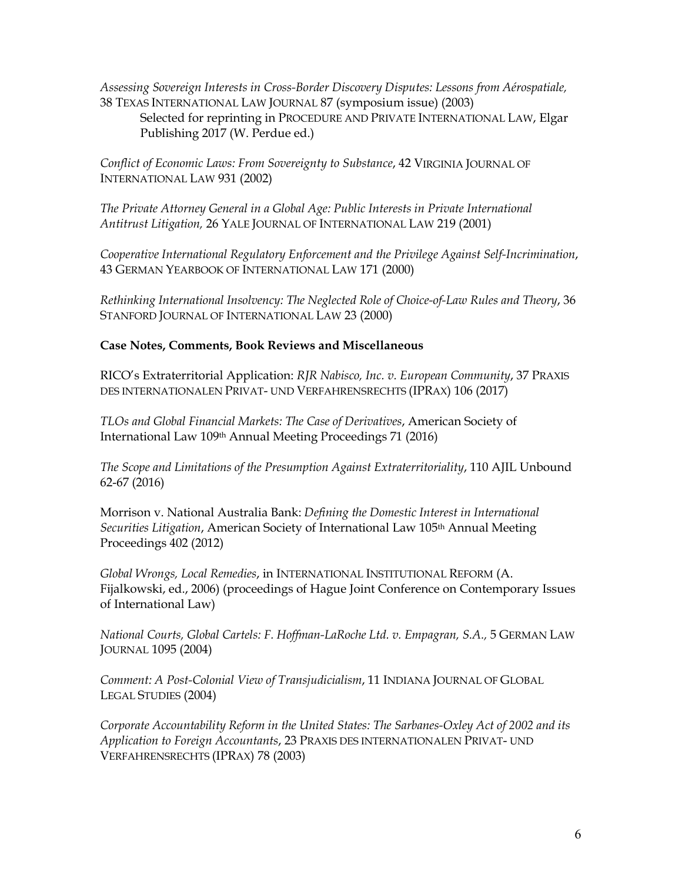*Assessing Sovereign Interests in Cross-Border Discovery Disputes: Lessons from Aérospatiale,*  38 TEXAS INTERNATIONAL LAW JOURNAL 87 (symposium issue) (2003) Selected for reprinting in PROCEDURE AND PRIVATE INTERNATIONAL LAW, Elgar Publishing 2017 (W. Perdue ed.)

*Conflict of Economic Laws: From Sovereignty to Substance*, 42 VIRGINIA JOURNAL OF INTERNATIONAL LAW 931 (2002)

*The Private Attorney General in a Global Age: Public Interests in Private International Antitrust Litigation,* 26 YALE JOURNAL OF INTERNATIONAL LAW 219 (2001)

*Cooperative International Regulatory Enforcement and the Privilege Against Self-Incrimination*, 43 GERMAN YEARBOOK OF INTERNATIONAL LAW 171 (2000)

*Rethinking International Insolvency: The Neglected Role of Choice-of-Law Rules and Theory*, 36 STANFORD JOURNAL OF INTERNATIONAL LAW 23 (2000)

## **Case Notes, Comments, Book Reviews and Miscellaneous**

RICO's Extraterritorial Application: *RJR Nabisco, Inc. v. European Community*, 37 PRAXIS DES INTERNATIONALEN PRIVAT- UND VERFAHRENSRECHTS (IPRAX) 106 (2017)

*TLOs and Global Financial Markets: The Case of Derivatives*, American Society of International Law 109th Annual Meeting Proceedings 71 (2016)

*The Scope and Limitations of the Presumption Against Extraterritoriality*, 110 AJIL Unbound 62-67 (2016)

Morrison v. National Australia Bank: *Defining the Domestic Interest in International Securities Litigation*, American Society of International Law 105th Annual Meeting Proceedings 402 (2012)

*Global Wrongs, Local Remedies*, in INTERNATIONAL INSTITUTIONAL REFORM (A. Fijalkowski, ed., 2006) (proceedings of Hague Joint Conference on Contemporary Issues of International Law)

*National Courts, Global Cartels: F. Hoffman-LaRoche Ltd. v. Empagran, S.A.,* 5 GERMAN LAW JOURNAL 1095 (2004)

*Comment: A Post-Colonial View of Transjudicialism*, 11 INDIANA JOURNAL OF GLOBAL LEGAL STUDIES (2004)

*Corporate Accountability Reform in the United States: The Sarbanes-Oxley Act of 2002 and its Application to Foreign Accountants*, 23 PRAXIS DES INTERNATIONALEN PRIVAT- UND VERFAHRENSRECHTS (IPRAX) 78 (2003)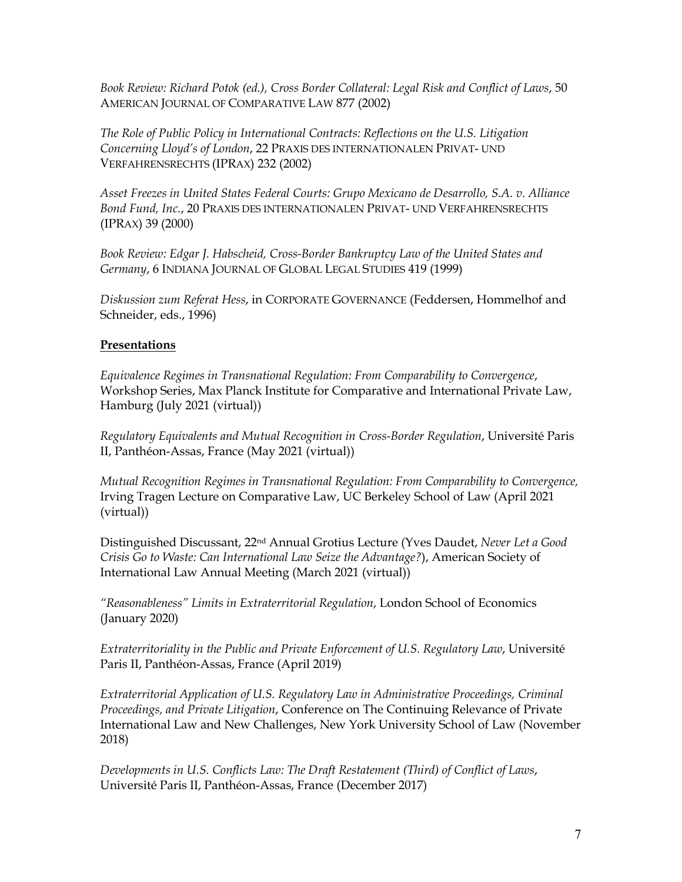*Book Review: Richard Potok (ed.), Cross Border Collateral: Legal Risk and Conflict of Laws*, 50 AMERICAN JOURNAL OF COMPARATIVE LAW 877 (2002)

*The Role of Public Policy in International Contracts: Reflections on the U.S. Litigation Concerning Lloyd's of London*, 22 PRAXIS DES INTERNATIONALEN PRIVAT- UND VERFAHRENSRECHTS (IPRAX) 232 (2002)

*Asset Freezes in United States Federal Courts: Grupo Mexicano de Desarrollo, S.A. v. Alliance Bond Fund, Inc.*, 20 PRAXIS DES INTERNATIONALEN PRIVAT- UND VERFAHRENSRECHTS (IPRAX) 39 (2000)

*Book Review: Edgar J. Habscheid, Cross-Border Bankruptcy Law of the United States and Germany*, 6 INDIANA JOURNAL OF GLOBAL LEGAL STUDIES 419 (1999)

*Diskussion zum Referat Hess*, in CORPORATE GOVERNANCE (Feddersen, Hommelhof and Schneider, eds., 1996)

### **Presentations**

*Equivalence Regimes in Transnational Regulation: From Comparability to Convergence*, Workshop Series, Max Planck Institute for Comparative and International Private Law, Hamburg (July 2021 (virtual))

*Regulatory Equivalents and Mutual Recognition in Cross-Border Regulation*, Université Paris II, Panthéon-Assas, France (May 2021 (virtual))

*Mutual Recognition Regimes in Transnational Regulation: From Comparability to Convergence,*  Irving Tragen Lecture on Comparative Law, UC Berkeley School of Law (April 2021 (virtual))

Distinguished Discussant, 22nd Annual Grotius Lecture (Yves Daudet, *Never Let a Good Crisis Go to Waste: Can International Law Seize the Advantage?*), American Society of International Law Annual Meeting (March 2021 (virtual))

*"Reasonableness" Limits in Extraterritorial Regulation*, London School of Economics (January 2020)

*Extraterritoriality in the Public and Private Enforcement of U.S. Regulatory Law*, Université Paris II, Panthéon-Assas, France (April 2019)

*Extraterritorial Application of U.S. Regulatory Law in Administrative Proceedings, Criminal Proceedings, and Private Litigation*, Conference on The Continuing Relevance of Private International Law and New Challenges, New York University School of Law (November 2018)

*Developments in U.S. Conflicts Law: The Draft Restatement (Third) of Conflict of Laws*, Université Paris II, Panthéon-Assas, France (December 2017)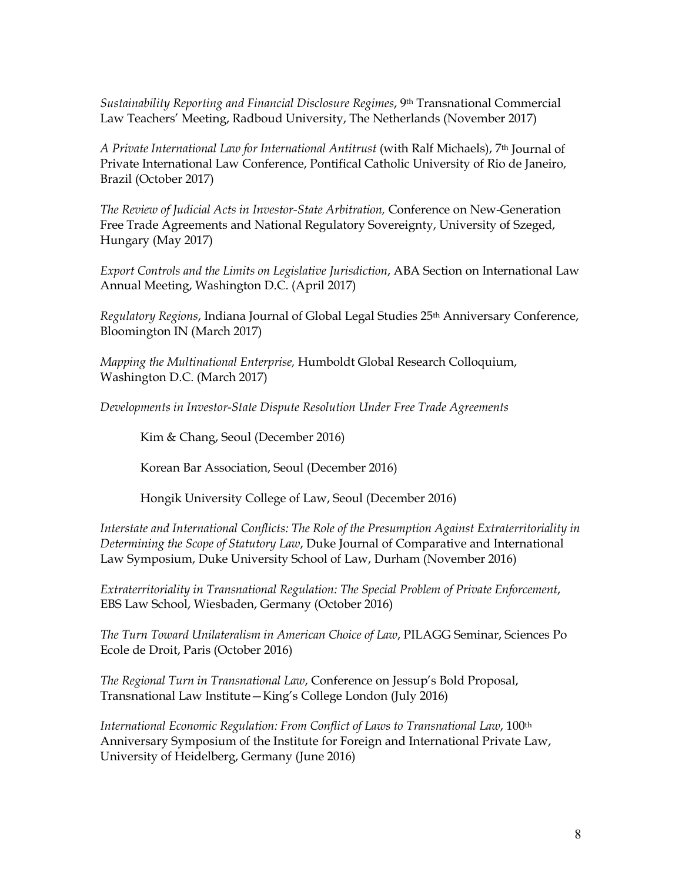*Sustainability Reporting and Financial Disclosure Regimes*, 9th Transnational Commercial Law Teachers' Meeting, Radboud University, The Netherlands (November 2017)

*A Private International Law for International Antitrust* (with Ralf Michaels), 7th Journal of Private International Law Conference, Pontifical Catholic University of Rio de Janeiro, Brazil (October 2017)

*The Review of Judicial Acts in Investor-State Arbitration,* Conference on New-Generation Free Trade Agreements and National Regulatory Sovereignty, University of Szeged, Hungary (May 2017)

*Export Controls and the Limits on Legislative Jurisdiction*, ABA Section on International Law Annual Meeting, Washington D.C. (April 2017)

*Regulatory Regions*, Indiana Journal of Global Legal Studies 25th Anniversary Conference, Bloomington IN (March 2017)

*Mapping the Multinational Enterprise,* Humboldt Global Research Colloquium, Washington D.C. (March 2017)

*Developments in Investor-State Dispute Resolution Under Free Trade Agreements*

Kim & Chang, Seoul (December 2016)

Korean Bar Association, Seoul (December 2016)

Hongik University College of Law, Seoul (December 2016)

*Interstate and International Conflicts: The Role of the Presumption Against Extraterritoriality in Determining the Scope of Statutory Law*, Duke Journal of Comparative and International Law Symposium, Duke University School of Law, Durham (November 2016)

*Extraterritoriality in Transnational Regulation: The Special Problem of Private Enforcement*, EBS Law School, Wiesbaden, Germany (October 2016)

*The Turn Toward Unilateralism in American Choice of Law*, PILAGG Seminar, Sciences Po Ecole de Droit, Paris (October 2016)

*The Regional Turn in Transnational Law*, Conference on Jessup's Bold Proposal, Transnational Law Institute—King's College London (July 2016)

*International Economic Regulation: From Conflict of Laws to Transnational Law*, 100th Anniversary Symposium of the Institute for Foreign and International Private Law, University of Heidelberg, Germany (June 2016)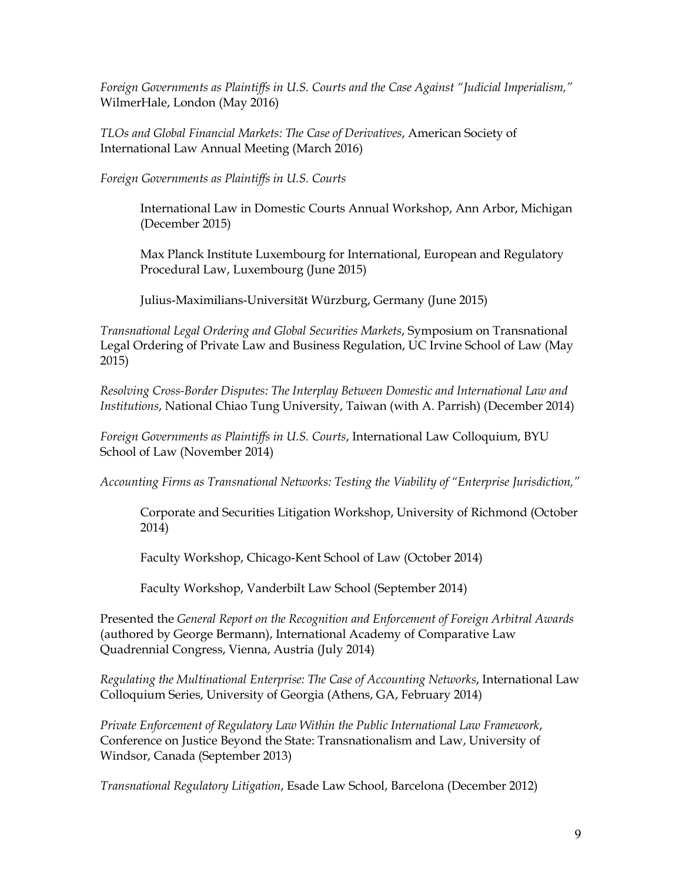*Foreign Governments as Plaintiffs in U.S. Courts and the Case Against "Judicial Imperialism,"* WilmerHale, London (May 2016)

*TLOs and Global Financial Markets: The Case of Derivatives*, American Society of International Law Annual Meeting (March 2016)

*Foreign Governments as Plaintiffs in U.S. Courts*

International Law in Domestic Courts Annual Workshop, Ann Arbor, Michigan (December 2015)

Max Planck Institute Luxembourg for International, European and Regulatory Procedural Law, Luxembourg (June 2015)

Julius-Maximilians-Universität Würzburg, Germany (June 2015)

*Transnational Legal Ordering and Global Securities Markets*, Symposium on Transnational Legal Ordering of Private Law and Business Regulation, UC Irvine School of Law (May 2015)

*Resolving Cross-Border Disputes: The Interplay Between Domestic and International Law and Institutions*, National Chiao Tung University, Taiwan (with A. Parrish) (December 2014)

*Foreign Governments as Plaintiffs in U.S. Courts*, International Law Colloquium, BYU School of Law (November 2014)

*Accounting Firms as Transnational Networks: Testing the Viability of "Enterprise Jurisdiction,"*

Corporate and Securities Litigation Workshop, University of Richmond (October 2014)

Faculty Workshop, Chicago-Kent School of Law (October 2014)

Faculty Workshop, Vanderbilt Law School (September 2014)

Presented the *General Report on the Recognition and Enforcement of Foreign Arbitral Awards* (authored by George Bermann), International Academy of Comparative Law Quadrennial Congress, Vienna, Austria (July 2014)

*Regulating the Multinational Enterprise: The Case of Accounting Networks*, International Law Colloquium Series, University of Georgia (Athens, GA, February 2014)

*Private Enforcement of Regulatory Law Within the Public International Law Framework*, Conference on Justice Beyond the State: Transnationalism and Law, University of Windsor, Canada (September 2013)

*Transnational Regulatory Litigation*, Esade Law School, Barcelona (December 2012)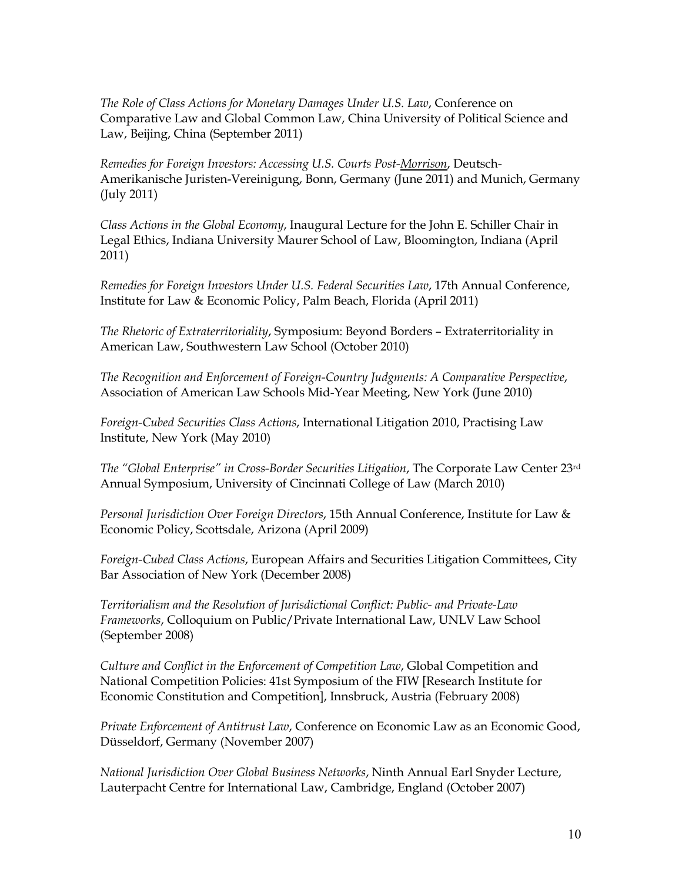*The Role of Class Actions for Monetary Damages Under U.S. Law*, Conference on Comparative Law and Global Common Law, China University of Political Science and Law, Beijing, China (September 2011)

*Remedies for Foreign Investors: Accessing U.S. Courts Post-Morrison*, Deutsch-Amerikanische Juristen-Vereinigung, Bonn, Germany (June 2011) and Munich, Germany (July 2011)

*Class Actions in the Global Economy*, Inaugural Lecture for the John E. Schiller Chair in Legal Ethics, Indiana University Maurer School of Law, Bloomington, Indiana (April 2011)

*Remedies for Foreign Investors Under U.S. Federal Securities Law*, 17th Annual Conference, Institute for Law & Economic Policy, Palm Beach, Florida (April 2011)

*The Rhetoric of Extraterritoriality*, Symposium: Beyond Borders – Extraterritoriality in American Law, Southwestern Law School (October 2010)

*The Recognition and Enforcement of Foreign-Country Judgments: A Comparative Perspective*, Association of American Law Schools Mid-Year Meeting, New York (June 2010)

*Foreign-Cubed Securities Class Actions*, International Litigation 2010, Practising Law Institute, New York (May 2010)

*The "Global Enterprise" in Cross-Border Securities Litigation*, The Corporate Law Center 23rd Annual Symposium, University of Cincinnati College of Law (March 2010)

*Personal Jurisdiction Over Foreign Directors*, 15th Annual Conference, Institute for Law & Economic Policy, Scottsdale, Arizona (April 2009)

*Foreign-Cubed Class Actions*, European Affairs and Securities Litigation Committees, City Bar Association of New York (December 2008)

*Territorialism and the Resolution of Jurisdictional Conflict: Public- and Private-Law Frameworks*, Colloquium on Public/Private International Law, UNLV Law School (September 2008)

*Culture and Conflict in the Enforcement of Competition Law*, Global Competition and National Competition Policies: 41st Symposium of the FIW [Research Institute for Economic Constitution and Competition], Innsbruck, Austria (February 2008)

*Private Enforcement of Antitrust Law*, Conference on Economic Law as an Economic Good, Düsseldorf, Germany (November 2007)

*National Jurisdiction Over Global Business Networks*, Ninth Annual Earl Snyder Lecture, Lauterpacht Centre for International Law, Cambridge, England (October 2007)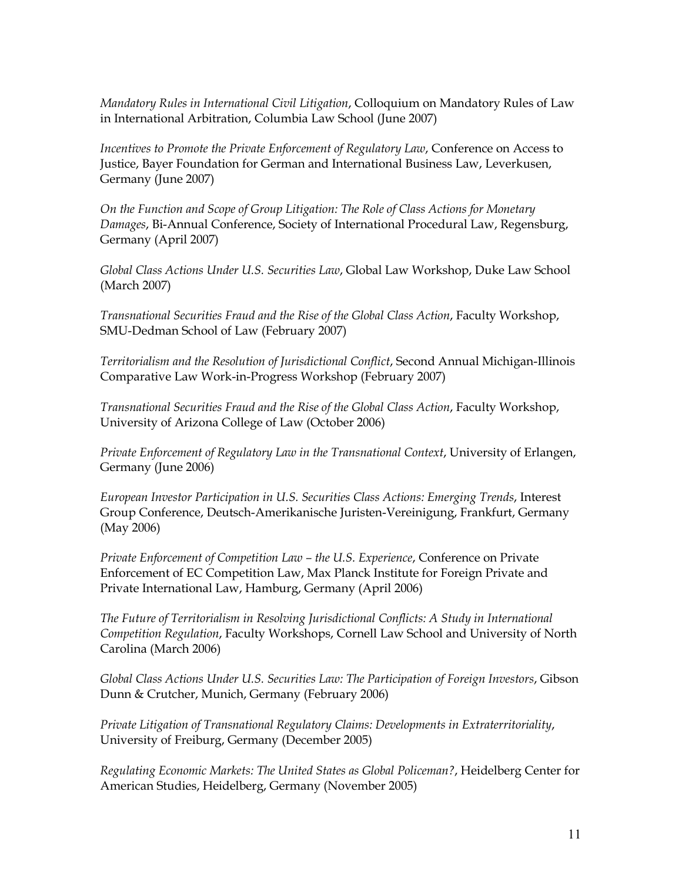*Mandatory Rules in International Civil Litigation*, Colloquium on Mandatory Rules of Law in International Arbitration, Columbia Law School (June 2007)

*Incentives to Promote the Private Enforcement of Regulatory Law*, Conference on Access to Justice, Bayer Foundation for German and International Business Law, Leverkusen, Germany (June 2007)

*On the Function and Scope of Group Litigation: The Role of Class Actions for Monetary Damages*, Bi-Annual Conference, Society of International Procedural Law, Regensburg, Germany (April 2007)

*Global Class Actions Under U.S. Securities Law*, Global Law Workshop, Duke Law School (March 2007)

*Transnational Securities Fraud and the Rise of the Global Class Action*, Faculty Workshop, SMU-Dedman School of Law (February 2007)

*Territorialism and the Resolution of Jurisdictional Conflict*, Second Annual Michigan-Illinois Comparative Law Work-in-Progress Workshop (February 2007)

*Transnational Securities Fraud and the Rise of the Global Class Action*, Faculty Workshop, University of Arizona College of Law (October 2006)

*Private Enforcement of Regulatory Law in the Transnational Context*, University of Erlangen, Germany (June 2006)

*European Investor Participation in U.S. Securities Class Actions: Emerging Trends*, Interest Group Conference, Deutsch-Amerikanische Juristen-Vereinigung, Frankfurt, Germany (May 2006)

*Private Enforcement of Competition Law – the U.S. Experience*, Conference on Private Enforcement of EC Competition Law, Max Planck Institute for Foreign Private and Private International Law, Hamburg, Germany (April 2006)

*The Future of Territorialism in Resolving Jurisdictional Conflicts: A Study in International Competition Regulation*, Faculty Workshops, Cornell Law School and University of North Carolina (March 2006)

*Global Class Actions Under U.S. Securities Law: The Participation of Foreign Investors*, Gibson Dunn & Crutcher, Munich, Germany (February 2006)

*Private Litigation of Transnational Regulatory Claims: Developments in Extraterritoriality*, University of Freiburg, Germany (December 2005)

*Regulating Economic Markets: The United States as Global Policeman?*, Heidelberg Center for American Studies, Heidelberg, Germany (November 2005)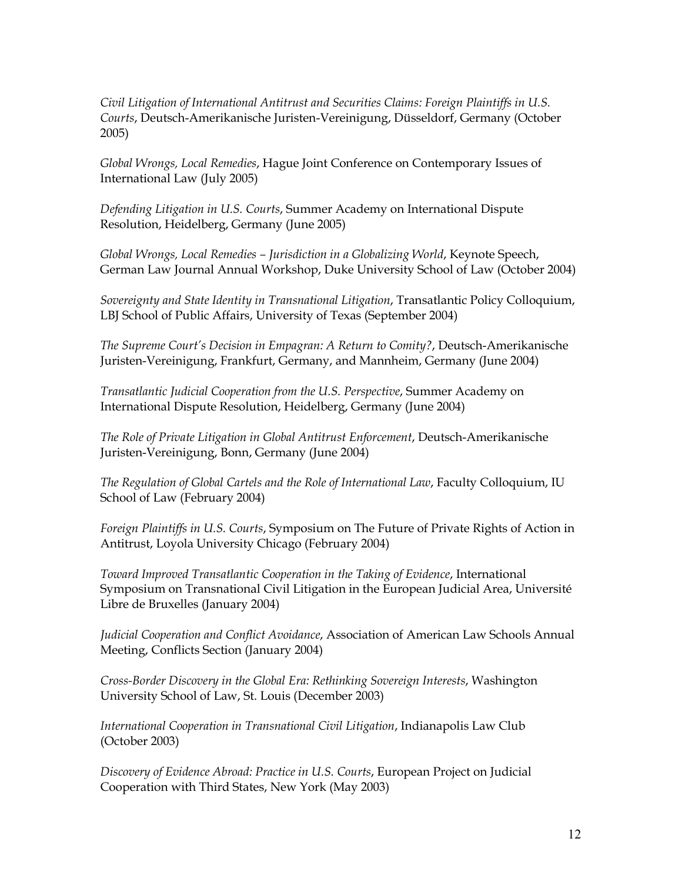*Civil Litigation of International Antitrust and Securities Claims: Foreign Plaintiffs in U.S. Courts*, Deutsch-Amerikanische Juristen-Vereinigung, Düsseldorf, Germany (October 2005)

*Global Wrongs, Local Remedies*, Hague Joint Conference on Contemporary Issues of International Law (July 2005)

*Defending Litigation in U.S. Courts*, Summer Academy on International Dispute Resolution, Heidelberg, Germany (June 2005)

*Global Wrongs, Local Remedies – Jurisdiction in a Globalizing World*, Keynote Speech, German Law Journal Annual Workshop, Duke University School of Law (October 2004)

*Sovereignty and State Identity in Transnational Litigation*, Transatlantic Policy Colloquium, LBJ School of Public Affairs, University of Texas (September 2004)

*The Supreme Court's Decision in Empagran: A Return to Comity?*, Deutsch-Amerikanische Juristen-Vereinigung, Frankfurt, Germany, and Mannheim, Germany (June 2004)

*Transatlantic Judicial Cooperation from the U.S. Perspective*, Summer Academy on International Dispute Resolution, Heidelberg, Germany (June 2004)

*The Role of Private Litigation in Global Antitrust Enforcement*, Deutsch-Amerikanische Juristen-Vereinigung, Bonn, Germany (June 2004)

*The Regulation of Global Cartels and the Role of International Law*, Faculty Colloquium, IU School of Law (February 2004)

*Foreign Plaintiffs in U.S. Courts*, Symposium on The Future of Private Rights of Action in Antitrust, Loyola University Chicago (February 2004)

*Toward Improved Transatlantic Cooperation in the Taking of Evidence*, International Symposium on Transnational Civil Litigation in the European Judicial Area, Université Libre de Bruxelles (January 2004)

*Judicial Cooperation and Conflict Avoidance*, Association of American Law Schools Annual Meeting, Conflicts Section (January 2004)

*Cross-Border Discovery in the Global Era: Rethinking Sovereign Interests*, Washington University School of Law, St. Louis (December 2003)

*International Cooperation in Transnational Civil Litigation*, Indianapolis Law Club (October 2003)

*Discovery of Evidence Abroad: Practice in U.S. Courts*, European Project on Judicial Cooperation with Third States, New York (May 2003)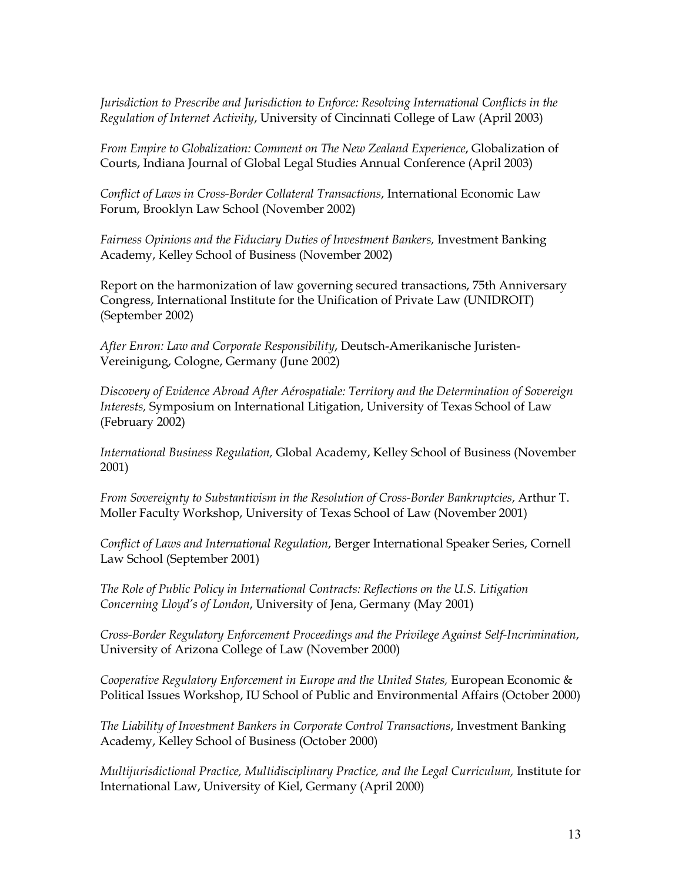*Jurisdiction to Prescribe and Jurisdiction to Enforce: Resolving International Conflicts in the Regulation of Internet Activity*, University of Cincinnati College of Law (April 2003)

*From Empire to Globalization: Comment on The New Zealand Experience*, Globalization of Courts, Indiana Journal of Global Legal Studies Annual Conference (April 2003)

*Conflict of Laws in Cross-Border Collateral Transactions*, International Economic Law Forum, Brooklyn Law School (November 2002)

Fairness Opinions and the Fiduciary Duties of Investment Bankers, Investment Banking Academy, Kelley School of Business (November 2002)

Report on the harmonization of law governing secured transactions, 75th Anniversary Congress, International Institute for the Unification of Private Law (UNIDROIT) (September 2002)

*After Enron: Law and Corporate Responsibility*, Deutsch-Amerikanische Juristen-Vereinigung, Cologne, Germany (June 2002)

*Discovery of Evidence Abroad After Aérospatiale: Territory and the Determination of Sovereign Interests,* Symposium on International Litigation, University of Texas School of Law (February 2002)

*International Business Regulation,* Global Academy, Kelley School of Business (November 2001)

*From Sovereignty to Substantivism in the Resolution of Cross-Border Bankruptcies*, Arthur T. Moller Faculty Workshop, University of Texas School of Law (November 2001)

*Conflict of Laws and International Regulation*, Berger International Speaker Series, Cornell Law School (September 2001)

*The Role of Public Policy in International Contracts: Reflections on the U.S. Litigation Concerning Lloyd's of London*, University of Jena, Germany (May 2001)

*Cross-Border Regulatory Enforcement Proceedings and the Privilege Against Self-Incrimination*, University of Arizona College of Law (November 2000)

*Cooperative Regulatory Enforcement in Europe and the United States, European Economic &* Political Issues Workshop, IU School of Public and Environmental Affairs (October 2000)

*The Liability of Investment Bankers in Corporate Control Transactions*, Investment Banking Academy, Kelley School of Business (October 2000)

*Multijurisdictional Practice, Multidisciplinary Practice, and the Legal Curriculum,* Institute for International Law, University of Kiel, Germany (April 2000)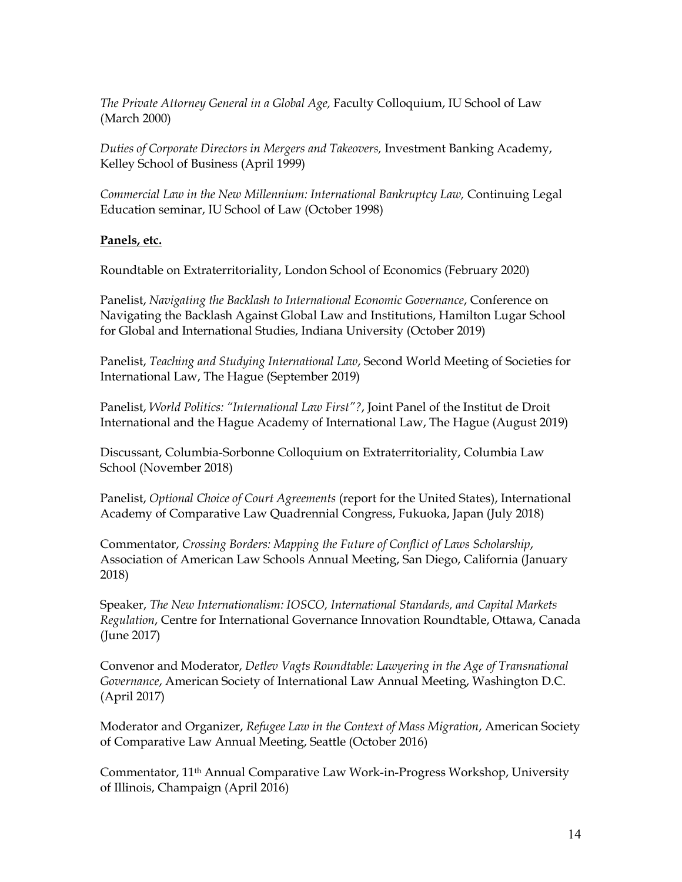*The Private Attorney General in a Global Age,* Faculty Colloquium, IU School of Law (March 2000)

*Duties of Corporate Directors in Mergers and Takeovers,* Investment Banking Academy, Kelley School of Business (April 1999)

*Commercial Law in the New Millennium: International Bankruptcy Law,* Continuing Legal Education seminar, IU School of Law (October 1998)

## **Panels, etc.**

Roundtable on Extraterritoriality, London School of Economics (February 2020)

Panelist, *Navigating the Backlash to International Economic Governance*, Conference on Navigating the Backlash Against Global Law and Institutions, Hamilton Lugar School for Global and International Studies, Indiana University (October 2019)

Panelist, *Teaching and Studying International Law*, Second World Meeting of Societies for International Law, The Hague (September 2019)

Panelist, *World Politics: "International Law First"?*, Joint Panel of the Institut de Droit International and the Hague Academy of International Law, The Hague (August 2019)

Discussant, Columbia-Sorbonne Colloquium on Extraterritoriality, Columbia Law School (November 2018)

Panelist, *Optional Choice of Court Agreements* (report for the United States), International Academy of Comparative Law Quadrennial Congress, Fukuoka, Japan (July 2018)

Commentator, *Crossing Borders: Mapping the Future of Conflict of Laws Scholarship*, Association of American Law Schools Annual Meeting, San Diego, California (January 2018)

Speaker, *The New Internationalism: IOSCO, International Standards, and Capital Markets Regulation*, Centre for International Governance Innovation Roundtable, Ottawa, Canada (June 2017)

Convenor and Moderator, *Detlev Vagts Roundtable: Lawyering in the Age of Transnational Governance*, American Society of International Law Annual Meeting, Washington D.C. (April 2017)

Moderator and Organizer, *Refugee Law in the Context of Mass Migration*, American Society of Comparative Law Annual Meeting, Seattle (October 2016)

Commentator, 11th Annual Comparative Law Work-in-Progress Workshop, University of Illinois, Champaign (April 2016)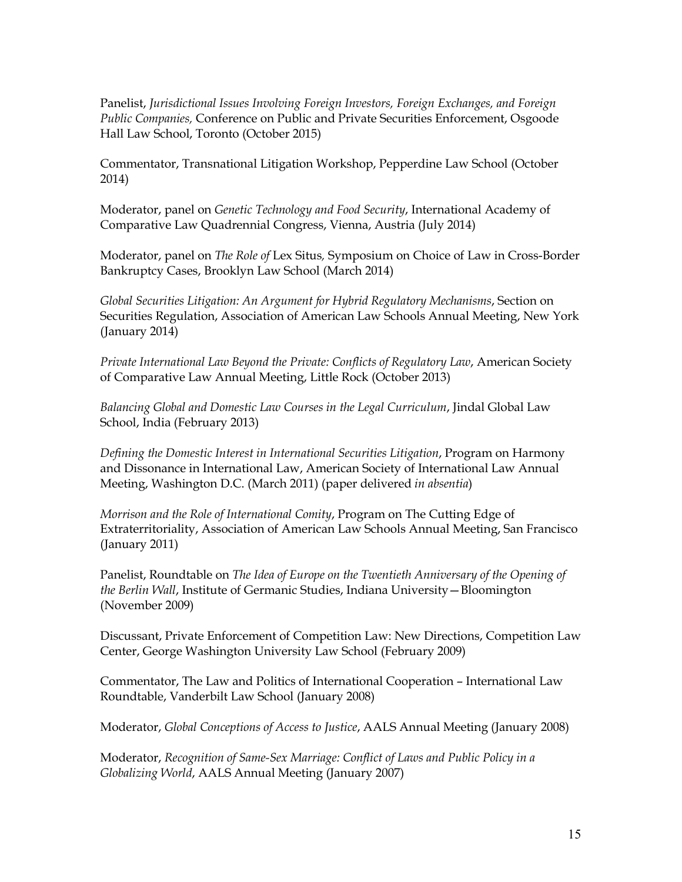Panelist, *Jurisdictional Issues Involving Foreign Investors, Foreign Exchanges, and Foreign Public Companies,* Conference on Public and Private Securities Enforcement, Osgoode Hall Law School, Toronto (October 2015)

Commentator, Transnational Litigation Workshop, Pepperdine Law School (October 2014)

Moderator, panel on *Genetic Technology and Food Security*, International Academy of Comparative Law Quadrennial Congress, Vienna, Austria (July 2014)

Moderator, panel on *The Role of* Lex Situs*,* Symposium on Choice of Law in Cross-Border Bankruptcy Cases, Brooklyn Law School (March 2014)

*Global Securities Litigation: An Argument for Hybrid Regulatory Mechanisms*, Section on Securities Regulation, Association of American Law Schools Annual Meeting, New York (January 2014)

*Private International Law Beyond the Private: Conflicts of Regulatory Law*, American Society of Comparative Law Annual Meeting, Little Rock (October 2013)

*Balancing Global and Domestic Law Courses in the Legal Curriculum*, Jindal Global Law School, India (February 2013)

*Defining the Domestic Interest in International Securities Litigation*, Program on Harmony and Dissonance in International Law, American Society of International Law Annual Meeting, Washington D.C. (March 2011) (paper delivered *in absentia*)

*Morrison and the Role of International Comity*, Program on The Cutting Edge of Extraterritoriality, Association of American Law Schools Annual Meeting, San Francisco (January 2011)

Panelist, Roundtable on *The Idea of Europe on the Twentieth Anniversary of the Opening of the Berlin Wall*, Institute of Germanic Studies, Indiana University—Bloomington (November 2009)

Discussant, Private Enforcement of Competition Law: New Directions, Competition Law Center, George Washington University Law School (February 2009)

Commentator, The Law and Politics of International Cooperation – International Law Roundtable, Vanderbilt Law School (January 2008)

Moderator, *Global Conceptions of Access to Justice*, AALS Annual Meeting (January 2008)

Moderator, *Recognition of Same-Sex Marriage: Conflict of Laws and Public Policy in a Globalizing World*, AALS Annual Meeting (January 2007)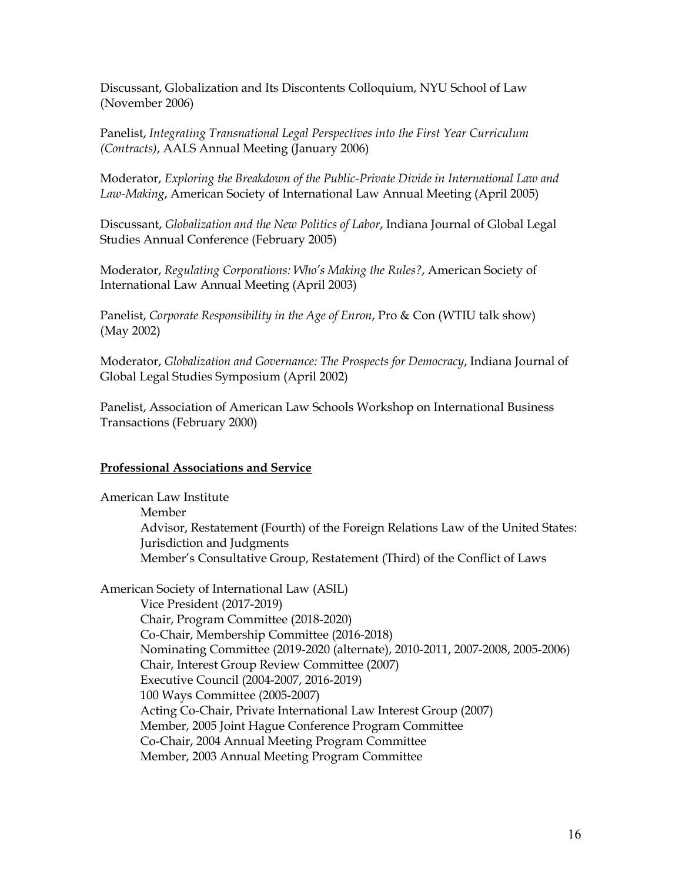Discussant, Globalization and Its Discontents Colloquium, NYU School of Law (November 2006)

Panelist, *Integrating Transnational Legal Perspectives into the First Year Curriculum (Contracts)*, AALS Annual Meeting (January 2006)

Moderator, *Exploring the Breakdown of the Public-Private Divide in International Law and Law-Making*, American Society of International Law Annual Meeting (April 2005)

Discussant, *Globalization and the New Politics of Labor*, Indiana Journal of Global Legal Studies Annual Conference (February 2005)

Moderator, *Regulating Corporations: Who's Making the Rules?*, American Society of International Law Annual Meeting (April 2003)

Panelist, *Corporate Responsibility in the Age of Enron*, Pro & Con (WTIU talk show) (May 2002)

Moderator, *Globalization and Governance: The Prospects for Democracy*, Indiana Journal of Global Legal Studies Symposium (April 2002)

Panelist, Association of American Law Schools Workshop on International Business Transactions (February 2000)

## **Professional Associations and Service**

American Law Institute Member Advisor, Restatement (Fourth) of the Foreign Relations Law of the United States: Jurisdiction and Judgments Member's Consultative Group, Restatement (Third) of the Conflict of Laws

American Society of International Law (ASIL) Vice President (2017-2019) Chair, Program Committee (2018-2020) Co-Chair, Membership Committee (2016-2018) Nominating Committee (2019-2020 (alternate), 2010-2011, 2007-2008, 2005-2006) Chair, Interest Group Review Committee (2007) Executive Council (2004-2007, 2016-2019) 100 Ways Committee (2005-2007) Acting Co-Chair, Private International Law Interest Group (2007) Member, 2005 Joint Hague Conference Program Committee Co-Chair, 2004 Annual Meeting Program Committee Member, 2003 Annual Meeting Program Committee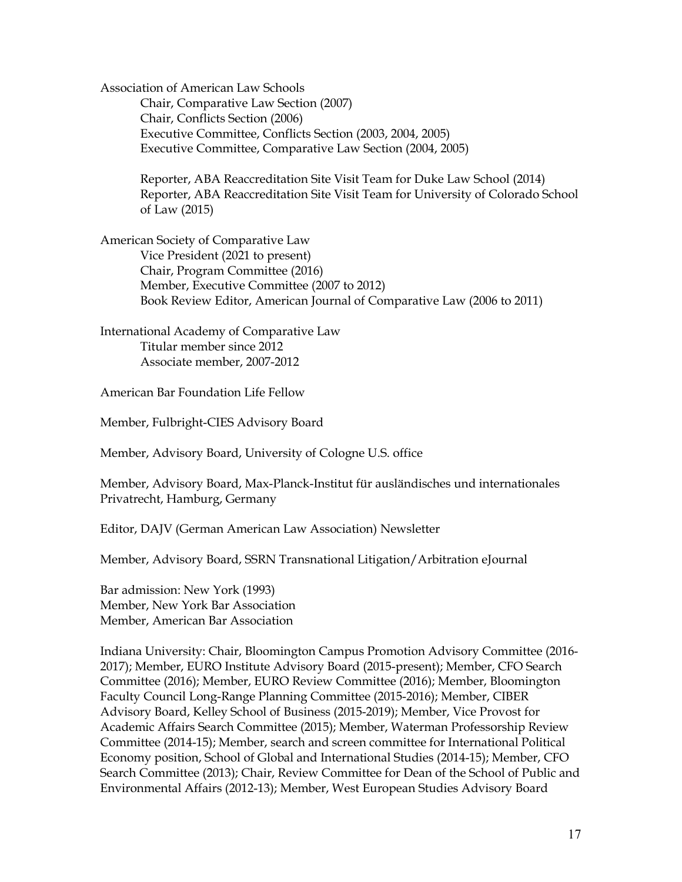Association of American Law Schools Chair, Comparative Law Section (2007) Chair, Conflicts Section (2006) Executive Committee, Conflicts Section (2003, 2004, 2005) Executive Committee, Comparative Law Section (2004, 2005)

> Reporter, ABA Reaccreditation Site Visit Team for Duke Law School (2014) Reporter, ABA Reaccreditation Site Visit Team for University of Colorado School of Law (2015)

American Society of Comparative Law Vice President (2021 to present) Chair, Program Committee (2016) Member, Executive Committee (2007 to 2012) Book Review Editor, American Journal of Comparative Law (2006 to 2011)

International Academy of Comparative Law Titular member since 2012 Associate member, 2007-2012

American Bar Foundation Life Fellow

Member, Fulbright-CIES Advisory Board

Member, Advisory Board, University of Cologne U.S. office

Member, Advisory Board, Max-Planck-Institut für ausländisches und internationales Privatrecht, Hamburg, Germany

Editor, DAJV (German American Law Association) Newsletter

Member, Advisory Board, SSRN Transnational Litigation/Arbitration eJournal

Bar admission: New York (1993) Member, New York Bar Association Member, American Bar Association

Indiana University: Chair, Bloomington Campus Promotion Advisory Committee (2016- 2017); Member, EURO Institute Advisory Board (2015-present); Member, CFO Search Committee (2016); Member, EURO Review Committee (2016); Member, Bloomington Faculty Council Long-Range Planning Committee (2015-2016); Member, CIBER Advisory Board, Kelley School of Business (2015-2019); Member, Vice Provost for Academic Affairs Search Committee (2015); Member, Waterman Professorship Review Committee (2014-15); Member, search and screen committee for International Political Economy position, School of Global and International Studies (2014-15); Member, CFO Search Committee (2013); Chair, Review Committee for Dean of the School of Public and Environmental Affairs (2012-13); Member, West European Studies Advisory Board